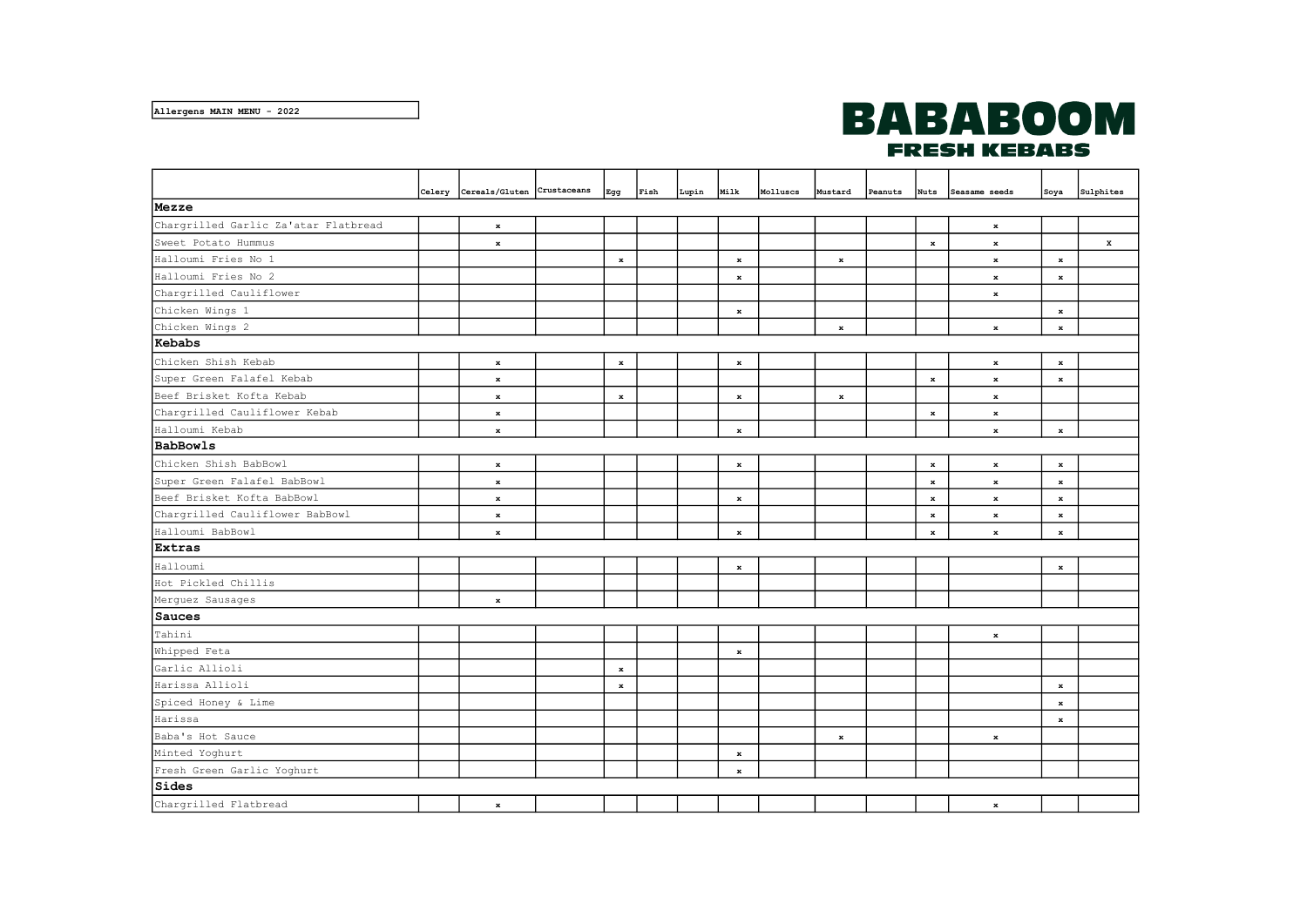## **BABABOOM FRESH KEBABS**

|                                      |  | Celery Cereals/Gluten Crustaceans |  | Egg     | Fish | Lupin | Milk        | Molluscs | Mustard     | Peanuts | <b>Nuts</b> | Seasame seeds | Soya        | Sulphites   |
|--------------------------------------|--|-----------------------------------|--|---------|------|-------|-------------|----------|-------------|---------|-------------|---------------|-------------|-------------|
| Mezze                                |  |                                   |  |         |      |       |             |          |             |         |             |               |             |             |
| Chargrilled Garlic Za'atar Flatbread |  | $\bf x$                           |  |         |      |       |             |          |             |         |             | $\bf x$       |             |             |
| Sweet Potato Hummus                  |  | $\bf x$                           |  |         |      |       |             |          |             |         | $\mathbf x$ | $\bf x$       |             | $\mathbf x$ |
| Halloumi Fries No 1                  |  |                                   |  | $\bf x$ |      |       | $\bf x$     |          | $\bf x$     |         |             | $\bf x$       | $\bf x$     |             |
| Halloumi Fries No 2                  |  |                                   |  |         |      |       | $\bf x$     |          |             |         |             | $\bf x$       | $\bf x$     |             |
| Chargrilled Cauliflower              |  |                                   |  |         |      |       |             |          |             |         |             | $\bf x$       |             |             |
| Chicken Wings 1                      |  |                                   |  |         |      |       | $\mathbf x$ |          |             |         |             |               | $\bf x$     |             |
| Chicken Wings 2                      |  |                                   |  |         |      |       |             |          | $\bf x$     |         |             | $\mathbf x$   | $\bf x$     |             |
| Kebabs                               |  |                                   |  |         |      |       |             |          |             |         |             |               |             |             |
| Chicken Shish Kebab                  |  | $\bf x$                           |  | $\bf x$ |      |       | $\bf x$     |          |             |         |             | $\mathbf x$   | $\bf x$     |             |
| Super Green Falafel Kebab            |  | $\mathbf x$                       |  |         |      |       |             |          |             |         | $\mathbf x$ | $\mathbf x$   | $\bf x$     |             |
| Beef Brisket Kofta Kebab             |  | $\bf x$                           |  | $\bf x$ |      |       | $\bf x$     |          | $\bf x$     |         |             | $\mathbf{x}$  |             |             |
| Chargrilled Cauliflower Kebab        |  | $\mathbf x$                       |  |         |      |       |             |          |             |         | $\bf x$     | $\mathbf x$   |             |             |
| Halloumi Kebab                       |  | $\mathbf x$                       |  |         |      |       | $\bf x$     |          |             |         |             | $\mathbf x$   | $\mathbf x$ |             |
| BabBowls                             |  |                                   |  |         |      |       |             |          |             |         |             |               |             |             |
| Chicken Shish BabBowl                |  | $\bf x$                           |  |         |      |       | $\bf x$     |          |             |         | $\bf x$     | $\mathbf x$   | $\bf x$     |             |
| Super Green Falafel BabBowl          |  | $\mathbf x$                       |  |         |      |       |             |          |             |         | $\bf x$     | $\mathbf x$   | $\bf x$     |             |
| Beef Brisket Kofta BabBowl           |  | $\bf x$                           |  |         |      |       | $\bf x$     |          |             |         | $\bf x$     | $\mathbf x$   | $\bf x$     |             |
| Chargrilled Cauliflower BabBowl      |  | $\bf x$                           |  |         |      |       |             |          |             |         | $\mathbf x$ | $\mathbf x$   | $\bf x$     |             |
| Halloumi BabBowl                     |  | $\bf x$                           |  |         |      |       | $\bf x$     |          |             |         | $\bf x$     | $\mathbf x$   | $\bf x$     |             |
| Extras                               |  |                                   |  |         |      |       |             |          |             |         |             |               |             |             |
| Halloumi                             |  |                                   |  |         |      |       | $\bf x$     |          |             |         |             |               | $\bf x$     |             |
| Hot Pickled Chillis                  |  |                                   |  |         |      |       |             |          |             |         |             |               |             |             |
| Merguez Sausages                     |  | $\bf x$                           |  |         |      |       |             |          |             |         |             |               |             |             |
| Sauces                               |  |                                   |  |         |      |       |             |          |             |         |             |               |             |             |
| Tahini                               |  |                                   |  |         |      |       |             |          |             |         |             | $\mathbf x$   |             |             |
| Whipped Feta                         |  |                                   |  |         |      |       | $\bf x$     |          |             |         |             |               |             |             |
| Garlic Allioli                       |  |                                   |  | $\bf x$ |      |       |             |          |             |         |             |               |             |             |
| Harissa Allioli                      |  |                                   |  | $\bf x$ |      |       |             |          |             |         |             |               | $\bf x$     |             |
| Spiced Honey & Lime                  |  |                                   |  |         |      |       |             |          |             |         |             |               | $\bf x$     |             |
| Harissa                              |  |                                   |  |         |      |       |             |          |             |         |             |               | $\bf x$     |             |
| Baba's Hot Sauce                     |  |                                   |  |         |      |       |             |          | $\mathbf x$ |         |             | $\bf x$       |             |             |
| Minted Yoghurt                       |  |                                   |  |         |      |       | $\bf x$     |          |             |         |             |               |             |             |
| Fresh Green Garlic Yoghurt           |  |                                   |  |         |      |       | $\bf x$     |          |             |         |             |               |             |             |
| Sides                                |  |                                   |  |         |      |       |             |          |             |         |             |               |             |             |
| Chargrilled Flatbread                |  | $\bf x$                           |  |         |      |       |             |          |             |         |             | $\bf x$       |             |             |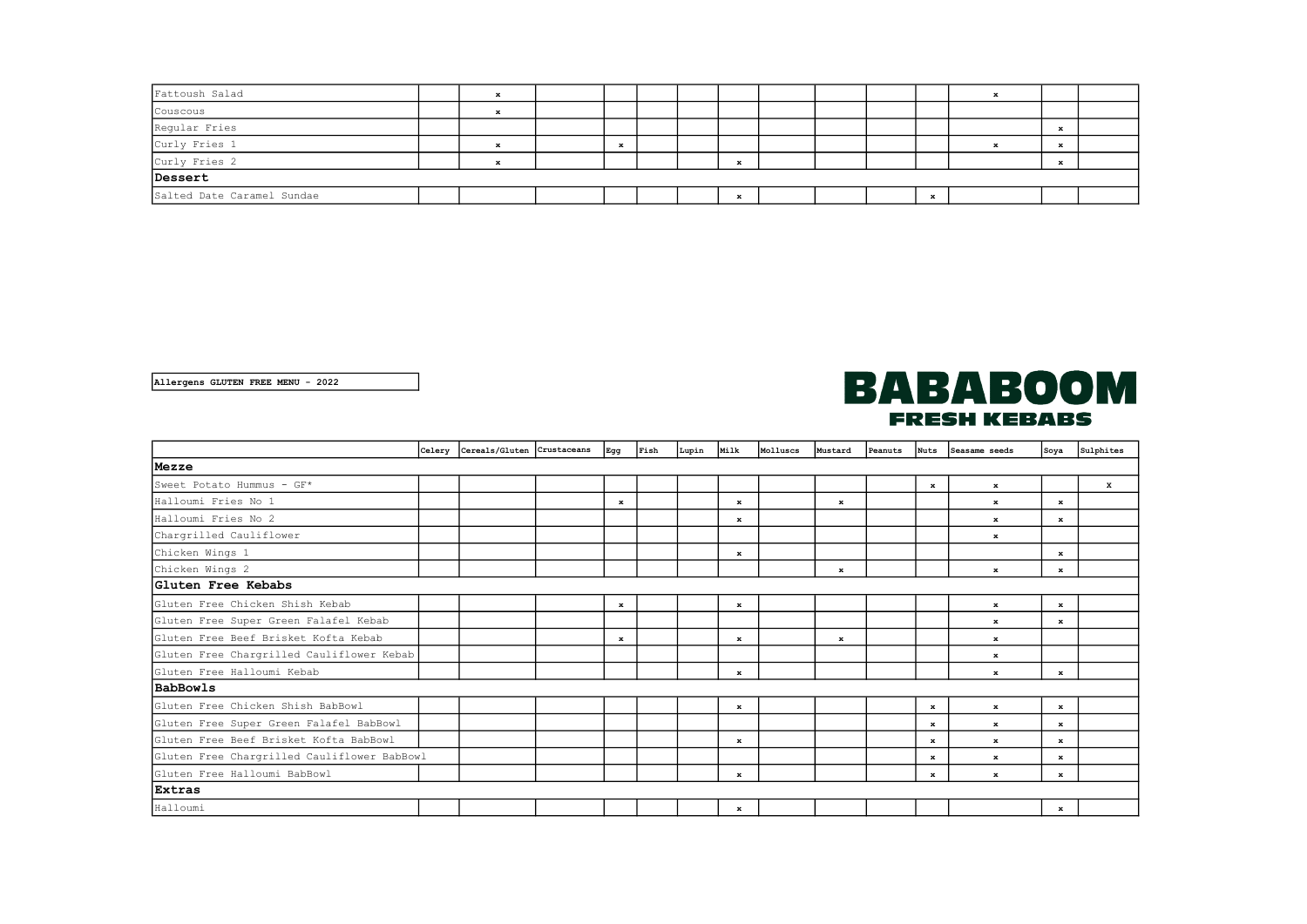| Fattoush Salad             |  |  |  |  |  |  |              |  |  |  |    |  |             |  |
|----------------------------|--|--|--|--|--|--|--------------|--|--|--|----|--|-------------|--|
| Couscous                   |  |  |  |  |  |  |              |  |  |  |    |  |             |  |
| Regular Fries              |  |  |  |  |  |  |              |  |  |  |    |  |             |  |
| Curly Fries 1              |  |  |  |  |  |  |              |  |  |  |    |  | $\mathbf x$ |  |
| Curly Fries 2              |  |  |  |  |  |  | -49          |  |  |  |    |  |             |  |
| Dessert                    |  |  |  |  |  |  |              |  |  |  |    |  |             |  |
| Salted Date Caramel Sundae |  |  |  |  |  |  | $\mathbf{z}$ |  |  |  | -- |  |             |  |

Allergens GLUTEN FREE MENU - 2022

## **BABABOOM FRESH KEBABS**

|                                             |  | Celery Cereals/Gluten Crustaceans |  | Egg          | Fish | Lupin | Milk         | Molluscs | <b>Mustard</b> | Peanuts | <b>Nuts</b> | Seasame seeds | Soya         | Sulphites    |
|---------------------------------------------|--|-----------------------------------|--|--------------|------|-------|--------------|----------|----------------|---------|-------------|---------------|--------------|--------------|
| Mezze                                       |  |                                   |  |              |      |       |              |          |                |         |             |               |              |              |
| Sweet Potato Hummus - GF*                   |  |                                   |  |              |      |       |              |          |                |         | $\bf x$     | $\mathbf x$   |              | $\mathbf{x}$ |
| Halloumi Fries No 1                         |  |                                   |  | $\bf x$      |      |       | $\mathbf x$  |          | $\mathbf x$    |         |             | $\mathbf x$   | $\mathbf x$  |              |
| Halloumi Fries No 2                         |  |                                   |  |              |      |       | $\bf x$      |          |                |         |             | $\mathbf{x}$  | $\mathbf{x}$ |              |
| Chargrilled Cauliflower                     |  |                                   |  |              |      |       |              |          |                |         |             | $\mathbf x$   |              |              |
| Chicken Wings 1                             |  |                                   |  |              |      |       | $\bf x$      |          |                |         |             |               | $\mathbf{x}$ |              |
| Chicken Wings 2                             |  |                                   |  |              |      |       |              |          | $\mathbf x$    |         |             | $\mathbf{x}$  | $\bf x$      |              |
| Gluten Free Kebabs                          |  |                                   |  |              |      |       |              |          |                |         |             |               |              |              |
| Gluten Free Chicken Shish Kebab             |  |                                   |  | $\mathbf{x}$ |      |       | $\mathbf x$  |          |                |         |             | $\mathbf{x}$  | $\mathbf{x}$ |              |
| Gluten Free Super Green Falafel Kebab       |  |                                   |  |              |      |       |              |          |                |         |             | $\bf x$       | x            |              |
| Gluten Free Beef Brisket Kofta Kebab        |  |                                   |  | ж            |      |       | $\mathbf x$  |          | ж              |         |             | $\mathbf x$   |              |              |
| Gluten Free Chargrilled Cauliflower Kebab   |  |                                   |  |              |      |       |              |          |                |         |             | $\mathbf x$   |              |              |
| Gluten Free Halloumi Kebab                  |  |                                   |  |              |      |       | $\mathbf x$  |          |                |         |             | $\mathbf x$   | $\mathbf{x}$ |              |
| BabBowls                                    |  |                                   |  |              |      |       |              |          |                |         |             |               |              |              |
| Gluten Free Chicken Shish BabBowl           |  |                                   |  |              |      |       | $\mathbf x$  |          |                |         | $\bf x$     | $\mathbf x$   | $\bf x$      |              |
| Gluten Free Super Green Falafel BabBowl     |  |                                   |  |              |      |       |              |          |                |         | $\bf x$     | $\mathbf{x}$  | $\mathbf{x}$ |              |
| Gluten Free Beef Brisket Kofta BabBowl      |  |                                   |  |              |      |       | $\bf x$      |          |                |         | $\bf x$     | $\mathbf{x}$  | $\mathbf{x}$ |              |
| Gluten Free Chargrilled Cauliflower BabBowl |  |                                   |  |              |      |       |              |          |                |         | x           | $\mathbf x$   | $\mathbf{x}$ |              |
| Gluten Free Halloumi BabBowl                |  |                                   |  |              |      |       | $\mathbf x$  |          |                |         | $\mathbf x$ | $\mathbf x$   | $\mathbf x$  |              |
| Extras                                      |  |                                   |  |              |      |       |              |          |                |         |             |               |              |              |
| Halloumi                                    |  |                                   |  |              |      |       | $\mathbf{x}$ |          |                |         |             |               | $\mathbf{x}$ |              |